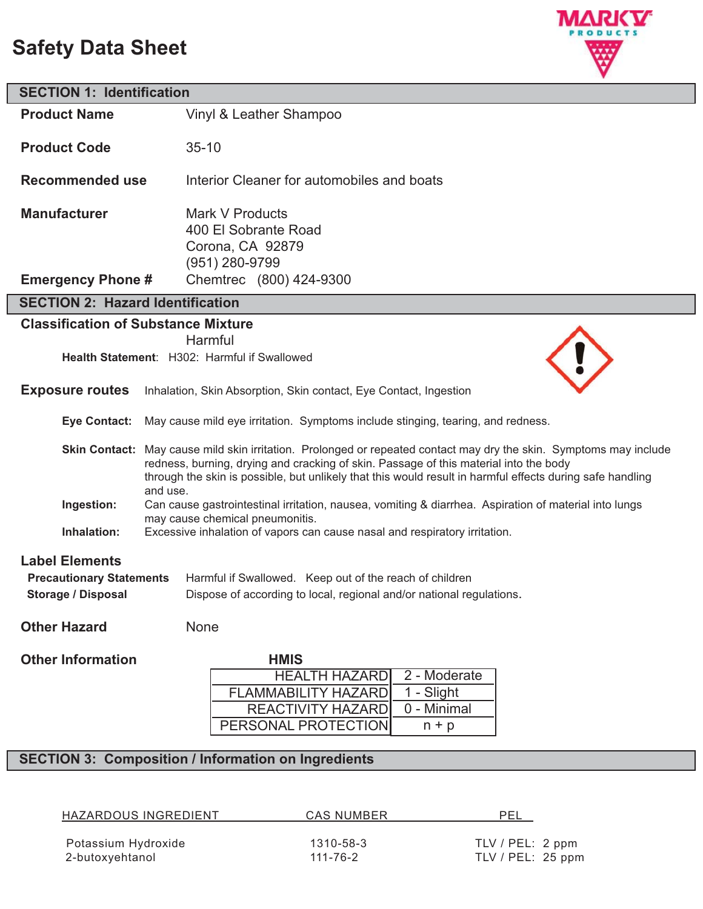# **Safety Data Sheet**



| <b>SECTION 1: Identification</b>                                                                                                                                                                                        |                                                                                                                                                                                                                                                                                                                                      |  |  |  |
|-------------------------------------------------------------------------------------------------------------------------------------------------------------------------------------------------------------------------|--------------------------------------------------------------------------------------------------------------------------------------------------------------------------------------------------------------------------------------------------------------------------------------------------------------------------------------|--|--|--|
| <b>Product Name</b>                                                                                                                                                                                                     | Vinyl & Leather Shampoo                                                                                                                                                                                                                                                                                                              |  |  |  |
| <b>Product Code</b>                                                                                                                                                                                                     | $35 - 10$                                                                                                                                                                                                                                                                                                                            |  |  |  |
| <b>Recommended use</b>                                                                                                                                                                                                  | Interior Cleaner for automobiles and boats                                                                                                                                                                                                                                                                                           |  |  |  |
| <b>Manufacturer</b>                                                                                                                                                                                                     | Mark V Products<br>400 El Sobrante Road<br>Corona, CA 92879<br>(951) 280-9799                                                                                                                                                                                                                                                        |  |  |  |
| <b>Emergency Phone #</b>                                                                                                                                                                                                | Chemtrec (800) 424-9300                                                                                                                                                                                                                                                                                                              |  |  |  |
| <b>SECTION 2: Hazard Identification</b>                                                                                                                                                                                 |                                                                                                                                                                                                                                                                                                                                      |  |  |  |
| <b>Classification of Substance Mixture</b>                                                                                                                                                                              |                                                                                                                                                                                                                                                                                                                                      |  |  |  |
|                                                                                                                                                                                                                         | Harmful<br>Health Statement: H302: Harmful if Swallowed                                                                                                                                                                                                                                                                              |  |  |  |
| <b>Exposure routes</b>                                                                                                                                                                                                  | Inhalation, Skin Absorption, Skin contact, Eye Contact, Ingestion                                                                                                                                                                                                                                                                    |  |  |  |
| <b>Eye Contact:</b>                                                                                                                                                                                                     | May cause mild eye irritation. Symptoms include stinging, tearing, and redness.                                                                                                                                                                                                                                                      |  |  |  |
|                                                                                                                                                                                                                         | Skin Contact: May cause mild skin irritation. Prolonged or repeated contact may dry the skin. Symptoms may include<br>redness, burning, drying and cracking of skin. Passage of this material into the body<br>through the skin is possible, but unlikely that this would result in harmful effects during safe handling<br>and use. |  |  |  |
| Ingestion:                                                                                                                                                                                                              | Can cause gastrointestinal irritation, nausea, vomiting & diarrhea. Aspiration of material into lungs                                                                                                                                                                                                                                |  |  |  |
| Inhalation:                                                                                                                                                                                                             | may cause chemical pneumonitis.<br>Excessive inhalation of vapors can cause nasal and respiratory irritation.                                                                                                                                                                                                                        |  |  |  |
| <b>Label Elements</b><br><b>Precautionary Statements</b><br>Harmful if Swallowed. Keep out of the reach of children<br><b>Storage / Disposal</b><br>Dispose of according to local, regional and/or national regulations |                                                                                                                                                                                                                                                                                                                                      |  |  |  |
| <b>Other Hazard</b>                                                                                                                                                                                                     | None                                                                                                                                                                                                                                                                                                                                 |  |  |  |
| <b>Other Information</b>                                                                                                                                                                                                | <b>HMIS</b><br>2 - Moderate<br><b>HEALTH HAZARD</b><br>1 - Slight<br><b>FLAMMABILITY HAZARD</b><br><b>REACTIVITY HAZARD</b><br>0 - Minimal<br>PERSONAL PROTECTION<br>$n + p$                                                                                                                                                         |  |  |  |

#### **SECTION 3: Composition / Information on Ingredients**

HAZARDOUS INGREDIENT CAS NUMBER PEL Potassium Hydroxide 1310-58-3 TLV / PEL: 2 ppm 2-butoxyehtanol 111-76-2 TLV / PEL: 25 ppm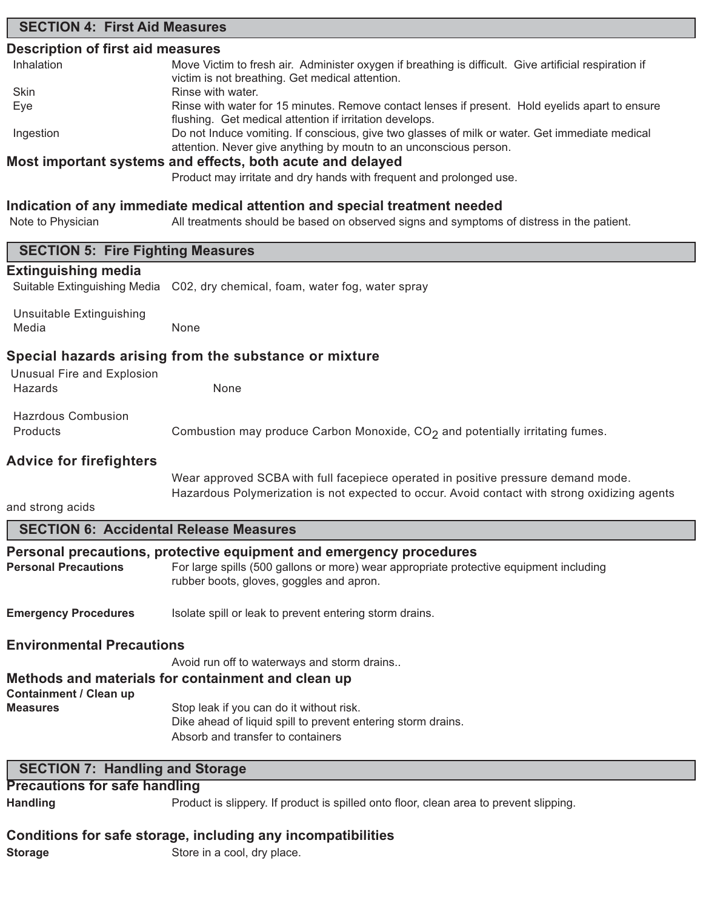## **SECTION 4: First Aid Measures Description of first aid measures** Inhalation Move Victim to fresh air. Administer oxygen if breathing is difficult. Give artificial respiration if victim is not breathing. Get medical attention. Skin **Rinse with water**. Eye Rinse with water for 15 minutes. Remove contact lenses if present. Hold eyelids apart to ensure flushing. Get medical attention if irritation develops. Ingestion Do not Induce vomiting. If conscious, give two glasses of milk or water. Get immediate medical attention. Never give anything by moutn to an unconscious person. **Most important systems and effects, both acute and delayed** Product may irritate and dry hands with frequent and prolonged use. **Indication of any immediate medical attention and special treatment needed** Note to Physician All treatments should be based on observed signs and symptoms of distress in the patient. **SECTION 5: Fire Fighting Measures Extinguishing media** Suitable Extinguishing Media C02, dry chemical, foam, water fog, water spray Unsuitable Extinguishing Media None **Special hazards arising from the substance or mixture** Unusual Fire and Explosion Hazards None Hazrdous Combusion Products **Combustion may produce Carbon Monoxide, CO<sub>2</sub> and potentially irritating fumes. Advice for firefighters** Wear approved SCBA with full facepiece operated in positive pressure demand mode. Hazardous Polymerization is not expected to occur. Avoid contact with strong oxidizing agents and strong acids **SECTION 6: Accidental Release Measures Personal precautions, protective equipment and emergency procedures** Personal Precautions For large spills (500 gallons or more) wear appropriate protective equipment including rubber boots, gloves, goggles and apron. **Emergency Procedures** Isolate spill or leak to prevent entering storm drains. **Environmental Precautions** Avoid run off to waterways and storm drains.. **Methods and materials for containment and clean up Containment / Clean up Measures** Stop leak if you can do it without risk. Dike ahead of liquid spill to prevent entering storm drains. Absorb and transfer to containers **Precautions for safe handling Handling** Product is slippery. If product is spilled onto floor, clean area to prevent slipping. **SECTION 7: Handling and Storage**

#### **Conditions for safe storage, including any incompatibilities**

**Storage** Store in a cool, dry place.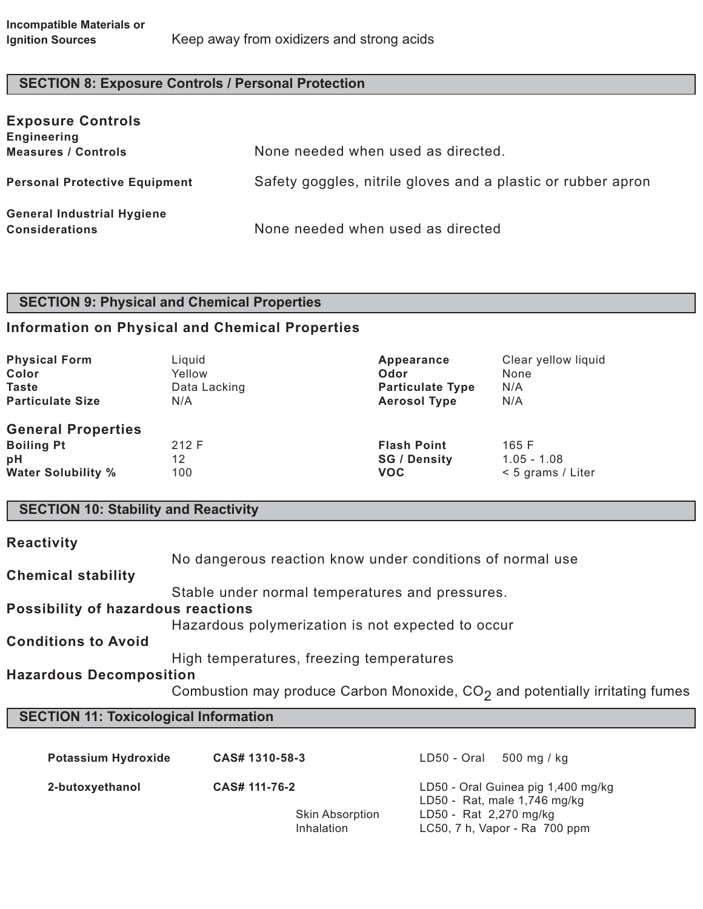## **SECTION 8: Exposure Controls / Personal Protection**

| <b>Exposure Controls</b><br><b>Engineering</b><br><b>Measures / Controls</b> | None needed when used as directed.                           |
|------------------------------------------------------------------------------|--------------------------------------------------------------|
| <b>Personal Protective Equipment</b>                                         | Safety goggles, nitrile gloves and a plastic or rubber apron |
| <b>General Industrial Hygiene</b><br><b>Considerations</b>                   | None needed when used as directed                            |

## **SECTION 9: Physical and Chemical Properties**

### **Information on Physical and Chemical Properties**

| <b>Physical Form</b>                                                              | Liquid             | Appearance                                              | Clear yellow liquid                           |
|-----------------------------------------------------------------------------------|--------------------|---------------------------------------------------------|-----------------------------------------------|
| Color                                                                             | Yellow             | Odor                                                    | None                                          |
| <b>Taste</b>                                                                      | Data Lacking       | <b>Particulate Type</b>                                 | N/A                                           |
| <b>Particulate Size</b>                                                           | N/A                | <b>Aerosol Type</b>                                     | N/A                                           |
| <b>General Properties</b><br><b>Boiling Pt</b><br>pH<br><b>Water Solubility %</b> | 212 F<br>12<br>100 | <b>Flash Point</b><br><b>SG / Density</b><br><b>VOC</b> | 165 F<br>$1.05 - 1.08$<br>$< 5$ grams / Liter |

## **SECTION 10: Stability and Reactivity**

| <b>Reactivity</b>                         |                                                                                          |
|-------------------------------------------|------------------------------------------------------------------------------------------|
|                                           | No dangerous reaction know under conditions of normal use                                |
| <b>Chemical stability</b>                 |                                                                                          |
|                                           | Stable under normal temperatures and pressures.                                          |
| <b>Possibility of hazardous reactions</b> |                                                                                          |
|                                           | Hazardous polymerization is not expected to occur                                        |
| <b>Conditions to Avoid</b>                |                                                                                          |
|                                           | High temperatures, freezing temperatures                                                 |
| <b>Hazardous Decomposition</b>            |                                                                                          |
|                                           | Combustion may produce Carbon Monoxide, CO <sub>2</sub> and potentially irritating fumes |

## **SECTION 11: Toxicological Information**

| <b>Potassium Hydroxide</b> | CAS# 1310-58-3                       | LD50 - Oral<br>500 mg / kg                                           |
|----------------------------|--------------------------------------|----------------------------------------------------------------------|
| 2-butoxyethanol            | CAS# 111-76-2                        | LD50 - Oral Guinea pig 1,400 mg/kg<br>LD50 - Rat, male $1,746$ mg/kg |
|                            | <b>Skin Absorption</b><br>Inhalation | LD50 - Rat 2,270 mg/kg<br>LC50, 7 h, Vapor - Ra 700 ppm              |